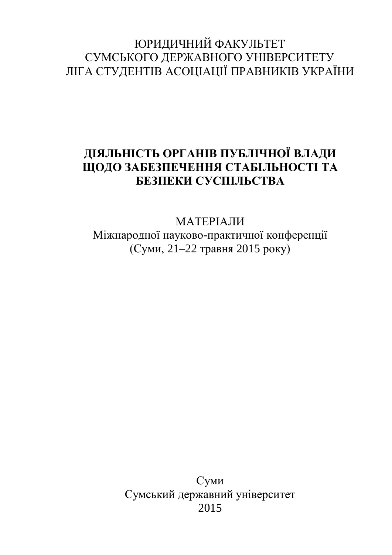# ЮРИДИЧНИЙ ФАКУЛЬТЕТ СУМСЬКОГО ДЕРЖАВНОГО УНІВЕРСИТЕТУ ЛІГА СТУДЕНТІВ АСОЦІАЦІЇ ПРАВНИКІВ УКРАЇНИ

## **ДІЯЛЬНІСТЬ ОРГАНІВ ПУБЛІЧНОЇ ВЛАДИ ЩОДО ЗАБЕЗПЕЧЕННЯ СТАБІЛЬНОСТІ ТА БЕЗПЕКИ СУСПІЛЬСТВА**

## МАТЕРІАЛИ Міжнародної науково-практичної конференції (Суми, 21–22 травня 2015 року)

Суми Сумський державний університет 2015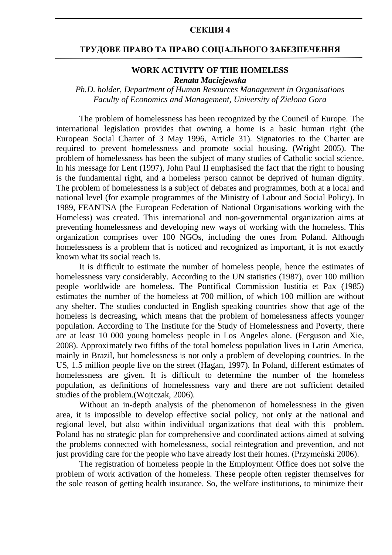#### **СЕКЦІЯ 4**

#### **ТРУДОВЕ ПРАВО ТА ПРАВО СОЦІАЛЬНОГО ЗАБЕЗПЕЧЕННЯ**

#### **WORK ACTIVITY OF THE HOMELESS** *Renata Maciejewska*

### *Ph.D. holder, Department of Human Resources Management in Organisations Faculty of Economics and Management, University of Zielona Gora*

The problem of homelessness has been recognized by the Council of Europe. The international legislation provides that owning a home is a basic human right (the European Social Charter of 3 May 1996, Article 31). Signatories to the Charter are required to prevent homelessness and promote social housing. (Wright 2005). The problem of homelessness has been the subject of many studies of Catholic social science. In his message for Lent (1997), John Paul II emphasised the fact that the right to housing is the fundamental right, and a homeless person cannot be deprived of human dignity. The problem of homelessness is a subject of debates and programmes, both at a local and national level (for example programmes of the Ministry of Labour and Social Policy). In 1989, FEANTSA (the European Federation of National Organisations working with the Homeless) was created. This international and non-governmental organization aims at preventing homelessness and developing new ways of working with the homeless. This organization comprises over 100 NGOs, including the ones from Poland. Although homelessness is a problem that is noticed and recognized as important, it is not exactly known what its social reach is.

It is difficult to estimate the number of homeless people, hence the estimates of homelessness vary considerably. According to the UN statistics (1987), over 100 million people worldwide are homeless. The Pontifical Commission Iustitia et Pax (1985) estimates the number of the homeless at 700 million, of which 100 million are without any shelter. The studies conducted in English speaking countries show that age of the homeless is decreasing, which means that the problem of homelessness affects younger population. According to The Institute for the Study of Homelessness and Poverty, there are at least 10 000 young homeless people in Los Angeles alone. (Ferguson and Xie, 2008). Approximately two fifths of the total homeless population lives in Latin America, mainly in Brazil, but homelessness is not only a problem of developing countries. In the US, 1.5 million people live on the street (Hagan, 1997). In Poland, different estimates of homelessness are given. It is difficult to determine the number of the homeless population, as definitions of homelessness vary and there are not sufficient detailed studies of the problem.(Wojtczak, 2006).

Without an in-depth analysis of the phenomenon of homelessness in the given area, it is impossible to develop effective social policy, not only at the national and regional level, but also within individual organizations that deal with this problem. Poland has no strategic plan for comprehensive and coordinated actions aimed at solving the problems connected with homelessness, social reintegration and prevention, and not just providing care for the people who have already lost their homes. (Przymeński 2006).

The registration of homeless people in the Employment Office does not solve the problem of work activation of the homeless. These people often register themselves for the sole reason of getting health insurance. So, the welfare institutions, to minimize their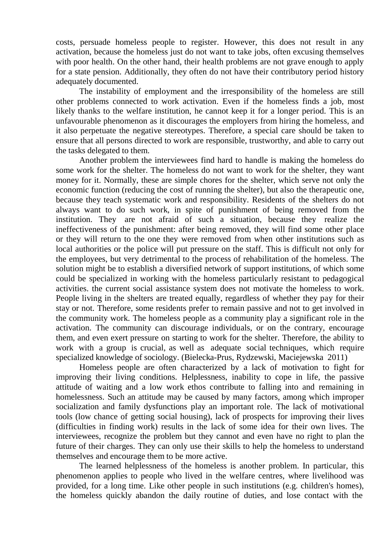costs, persuade homeless people to register. However, this does not result in any activation, because the homeless just do not want to take jobs, often excusing themselves with poor health. On the other hand, their health problems are not grave enough to apply for a state pension. Additionally, they often do not have their contributory period history adequately documented.

The instability of employment and the irresponsibility of the homeless are still other problems connected to work activation. Even if the homeless finds a job, most likely thanks to the welfare institution, he cannot keep it for a longer period. This is an unfavourable phenomenon as it discourages the employers from hiring the homeless, and it also perpetuate the negative stereotypes. Therefore, a special care should be taken to ensure that all persons directed to work are responsible, trustworthy, and able to carry out the tasks delegated to them.

Another problem the interviewees find hard to handle is making the homeless do some work for the shelter. The homeless do not want to work for the shelter, they want money for it. Normally, these are simple chores for the shelter, which serve not only the economic function (reducing the cost of running the shelter), but also the therapeutic one, because they teach systematic work and responsibility. Residents of the shelters do not always want to do such work, in spite of punishment of being removed from the institution. They are not afraid of such a situation, because they realize the ineffectiveness of the punishment: after being removed, they will find some other place or they will return to the one they were removed from when other institutions such as local authorities or the police will put pressure on the staff. This is difficult not only for the employees, but very detrimental to the process of rehabilitation of the homeless. The solution might be to establish a diversified network of support institutions, of which some could be specialized in working with the homeless particularly resistant to pedagogical activities. the current social assistance system does not motivate the homeless to work. People living in the shelters are treated equally, regardless of whether they pay for their stay or not. Therefore, some residents prefer to remain passive and not to get involved in the community work. The homeless people as a community play a significant role in the activation. The community can discourage individuals, or on the contrary, encourage them, and even exert pressure on starting to work for the shelter. Therefore, the ability to work with a group is crucial, as well as adequate social techniques, which require specialized knowledge of sociology. (Bielecka-Prus, Rydzewski, Maciejewska 2011)

Homeless people are often characterized by a lack of motivation to fight for improving their living conditions. Helplessness, inability to cope in life, the passive attitude of waiting and a low work ethos contribute to falling into and remaining in homelessness. Such an attitude may be caused by many factors, among which improper socialization and family dysfunctions play an important role. The lack of motivational tools (low chance of getting social housing), lack of prospects for improving their lives (difficulties in finding work) results in the lack of some idea for their own lives. The interviewees, recognize the problem but they cannot and even have no right to plan the future of their charges. They can only use their skills to help the homeless to understand themselves and encourage them to be more active.

The learned helplessness of the homeless is another problem. In particular, this phenomenon applies to people who lived in the welfare centres, where livelihood was provided, for a long time. Like other people in such institutions (e.g. children's homes), the homeless quickly abandon the daily routine of duties, and lose contact with the